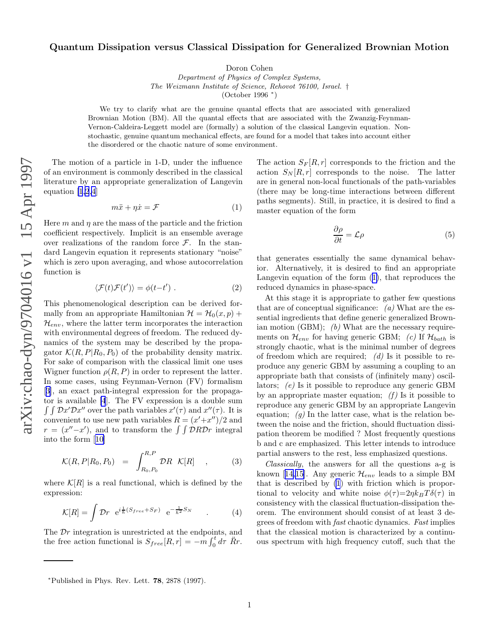## <span id="page-0-0"></span>Quantum Dissipation versus Classical Dissipation for Generalized Brownian Motion

Doron Cohen

Department of Physics of Complex Systems, The Weizmann Institute of Science, Rehovot 76100, Israel. † (October 1996 ∗ )

We try to clarify what are the genuine quantal effects that are associated with generalized Brownian Motion (BM). All the quantal effects that are associated with the Zwanzig-Feynman-Vernon-Caldeira-Leggett model are (formally) a solution of the classical Langevin equation. Nonstochastic, genuine quantum mechanical effects, are found for a model that takes into account either the disordered or the chaotic nature of some environment.

The motion of a particle in 1-D, under the influence of an environment is commonly described in the classical literature by an appropriate generalization of Langevin equation [\[1,2,4](#page-3-0)]

$$
m\ddot{x} + \eta \dot{x} = \mathcal{F} \tag{1}
$$

Here  $m$  and  $\eta$  are the mass of the particle and the friction coefficient respectively. Implicit is an ensemble average over realizations of the random force  $\mathcal{F}$ . In the standard Langevin equation it represents stationary "noise" which is zero upon averaging, and whose autocorrelation function is

$$
\langle \mathcal{F}(t)\mathcal{F}(t')\rangle = \phi(t-t') . \tag{2}
$$

This phenomenological description can be derived formally from an appropriate Hamiltonian  $\mathcal{H} = \mathcal{H}_0(x, p) +$  $\mathcal{H}_{env}$ , where the latter term incorporates the interaction with environmental degrees of freedom. The reduced dynamics of the system may be described by the propagator  $\mathcal{K}(R, P | R_0, P_0)$  of the probability density matrix. For sake of comparison with the classical limit one uses Wigner function  $\rho(R, P)$  in order to represent the latter. In some cases, using Feynman-Vernon (FV) formalism [[3\]](#page-3-0), an exact path-integral expression for the propagator is available [\[4](#page-3-0)]. The FV expression is a double sum  $\int \int \mathcal{D}x' \mathcal{D}x''$  over the path variables  $x'(\tau)$  and  $x''(\tau)$ . It is convenient to use new path variables  $R = (x' + x'')/2$  and  $r = (x'' - x')$ , and to transform the  $\int \int \mathcal{D}R \mathcal{D}r$  integral into the form[[10\]](#page-3-0)

$$
\mathcal{K}(R, P|R_0, P_0) = \int_{R_0, P_0}^{R, P} \mathcal{D}R \quad \mathcal{K}[R] \quad , \tag{3}
$$

where  $\mathcal{K}[R]$  is a real functional, which is defined by the expression:

$$
\mathcal{K}[R] = \int \mathcal{D}r \ e^{i\frac{1}{\hbar}(S_{free} + S_F)} \ e^{-\frac{1}{\hbar^2}S_N} \tag{4}
$$

The D r integration is unrestricted at the endpoints, and the free action functional is  $S_{free}[R,r] = -\frac{1}{m} \int_0^t$  $\int_0^t d\tau \, \ddot{R}r.$ 

The action  $S_F[R,r]$  corresponds to the friction and the action  $S_N[R,r]$  corresponds to the noise. The latter are in general non-local functionals of the path-variables (there may be long-time interactions between different paths segments). Still, in practice, it is desired to find a master equation of the form

$$
\frac{\partial \rho}{\partial t} = \mathcal{L}\rho \tag{5}
$$

that generates essentially the same dynamical behavior. Alternatively, it is desired to find an appropriate Langevin equation of the form (1), that reproduces the reduced dynamics in phase-space.

At this stage it is appropriate to gather few questions that are of conceptual significance:  $(a)$  What are the essential ingredients that define generic generalized Brownian motion (GBM);  $(b)$  What are the necessary requirements on  $\mathcal{H}_{env}$  for having generic GBM; (c) If  $\mathcal{H}_{bath}$  is strongly chaotic, what is the minimal number of degrees of freedom which are required;  $(d)$  Is it possible to reproduce any generic GBM by assuming a coupling to an appropriate bath that consists of (infinitely many) oscillators; (e) Is it possible to reproduce any generic GBM by an appropriate master equation;  $(f)$  Is it possible to reproduce any generic GBM by an appropriate Langevin equation;  $(g)$  In the latter case, what is the relation between the noise and the friction, should fluctuation dissipation theorem be modified ? Most frequently questions b and c are emphasized. This letter intends to introduce partial answers to the rest, less emphasized questions.

Classically, the answers for all the questions a-g is known[[14](#page-4-0),[15\]](#page-4-0). Any generic  $\mathcal{H}_{env}$  leads to a simple BM that is described by (1) with friction which is proportional to velocity and white noise  $\phi(\tau) = 2\eta k_B T \delta(\tau)$  in consistency with the classical fluctuation-dissipation theorem. The environment should consist of at least 3 degrees of freedom with fast chaotic dynamics. Fast implies that the classical motion is characterized by a continuous spectrum with high frequency cutoff, such that the

 $*$ Published in Phys. Rev. Lett. 78, 2878 (1997).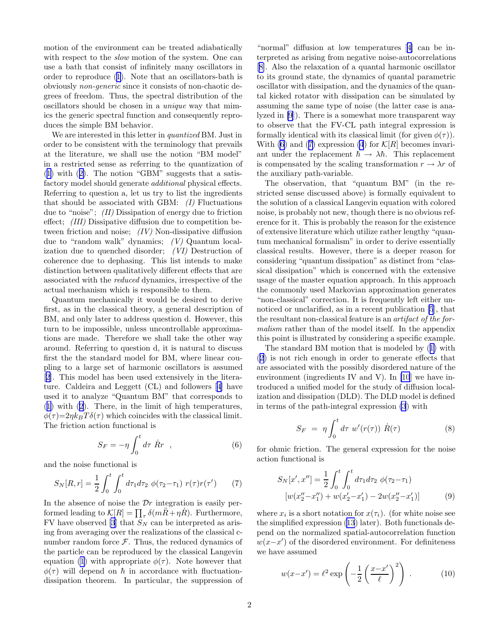<span id="page-1-0"></span>motion of the environment can be treated adiabatically with respect to the *slow* motion of the system. One can use a bath that consist of infinitely many oscillators in order to reproduce [\(1](#page-0-0)). Note that an oscillators-bath is obviously non-generic since it consists of non-chaotic degrees of freedom. Thus, the spectral distribution of the oscillators should be chosen in a unique way that mimics the generic spectral function and consequently reproduces the simple BM behavior.

We are interested in this letter in quantized BM. Just in order to be consistent with the terminology that prevails at the literature, we shall use the notion "BM model" in a restricted sense as referring to the quantization of ([1\)](#page-0-0) with ([2\)](#page-0-0). The notion "GBM" suggests that a satisfactory model should generate additional physical effects. Referring to question a, let us try to list the ingredients that should be associated with GBM:  $(I)$  Fluctuations due to "noise"; (II) Dissipation of energy due to friction effect; (III) Dissipative diffusion due to competition between friction and noise;  $(IV)$  Non-dissipative diffusion due to "random walk" dynamics; (V) Quantum localization due to quenched disorder; (VI) Destruction of coherence due to dephasing. This list intends to make distinction between qualitatively different effects that are associated with the reduced dynamics, irrespective of the actual mechanism which is responsible to them.

Quantum mechanically it would be desired to derive first, as in the classical theory, a general description of BM, and only later to address question d. However, this turn to be impossible, unless uncontrollable approximations are made. Therefore we shall take the other way around. Referring to question d, it is natural to discuss first the the standard model for BM, where linear coupling to a large set of harmonic oscillators is assumed [[2\]](#page-3-0). This model has been used extensively in the literature. Caldeira and Leggett (CL) and followers[[4](#page-3-0)] have used it to analyze "Quantum BM" that corresponds to ([1\)](#page-0-0) with [\(2](#page-0-0)). There, in the limit of high temperatures,  $\phi(\tau) = 2\eta k_B T \delta(\tau)$  which coincides with the classical limit. The friction action functional is

$$
S_F = -\eta \int_0^t d\tau \ \dot{R}r \quad , \tag{6}
$$

and the noise functional is

$$
S_N[R,r] = \frac{1}{2} \int_0^t \int_0^t d\tau_1 d\tau_2 \ \phi(\tau_2 - \tau_1) \ r(\tau) r(\tau') \tag{7}
$$

In the absence of noise the  $\mathcal{D}r$  integration is easily performed leading to  $\mathcal{K}[R] = \prod_{\tau} \delta(m\ddot{R} + \eta \dot{R})$ . Furthermore, FV have observed [\[3](#page-3-0)] that  $S_N$  can be interpreted as arising from averaging over the realizations of the classical cnumber random force  $F$ . Thus, the reduced dynamics of the particle can be reproduced by the classical Langevin equation [\(1](#page-0-0)) with appropriate  $\phi(\tau)$ . Note however that  $\phi(\tau)$  will depend on  $\hbar$  in accordance with fluctuationdissipation theorem. In particular, the suppression of

"normal" diffusion at low temperatures[[4](#page-3-0)] can be interpreted as arising from negative noise-autocorrelations [[8\]](#page-3-0). Also the relaxation of a quantal harmonic oscillator to its ground state, the dynamics of quantal parametric oscillator with dissipation, and the dynamics of the quantal kicked rotator with dissipation can be simulated by assuming the same type of noise (the latter case is analyzed in [\[9](#page-3-0)]). There is a somewhat more transparent way to observe that the FV-CL path integral expression is formally identical with its classical limit (for given  $\phi(\tau)$ ). With (6) and (7) expression [\(4](#page-0-0)) for  $\mathcal{K}[R]$  becomes invariant under the replacement  $\hbar \rightarrow \lambda \hbar$ . This replacement is compensated by the scaling transformation  $r \to \lambda r$  of the auxiliary path-variable.

The observation, that "quantum BM" (in the restricted sense discussed above) is formally equivalent to the solution of a classical Langevin equation with colored noise, is probably not new, though there is no obvious reference for it. This is probably the reason for the existence of extensive literature which utilize rather lengthy "quantum mechanical formalism" in order to derive essentially classical results. However, there is a deeper reason for considering "quantum dissipation" as distinct from "classical dissipation" which is concerned with the extensive usage of the master equation approach. In this approach the commonly used Markovian approximation generates "non-classical" correction. It is frequently left either unnoticed or unclarified, as in a recent publication [\[5](#page-3-0)], that the resultant non-classical feature is an artifact of the formalism rather than of the model itself. In the appendix this point is illustrated by considering a specific example.

The standard BM motion that is modeled by ([1\)](#page-0-0) with ([2\)](#page-0-0) is not rich enough in order to generate effects that are associated with the possibly disordered nature of the environment (ingredients IV and V). In [\[10](#page-3-0)] we have introduced a unified model for the study of diffusion localization and dissipation (DLD). The DLD model is defined in terms of the path-integral expression [\(3](#page-0-0)) with

$$
S_F = \eta \int_0^t d\tau \ w'(r(\tau)) \ \dot{R}(\tau) \tag{8}
$$

for ohmic friction. The general expression for the noise action functional is

$$
S_N[x', x''] = \frac{1}{2} \int_0^t \int_0^t d\tau_1 d\tau_2 \ \phi(\tau_2 - \tau_1)
$$

$$
[w(x_2'' - x_1'') + w(x_2' - x_1') - 2w(x_2'' - x_1')] \tag{9}
$$

where  $x_i$  is a short notation for  $x(\tau_i)$ . (for white noise see the simplified expression [\(13](#page-2-0)) later). Both functionals depend on the normalized spatial-autocorrelation function  $w(x-x')$  of the disordered environment. For definiteness we have assumed

$$
w(x-x') = \ell^2 \exp\left(-\frac{1}{2}\left(\frac{x-x'}{\ell}\right)^2\right) \tag{10}
$$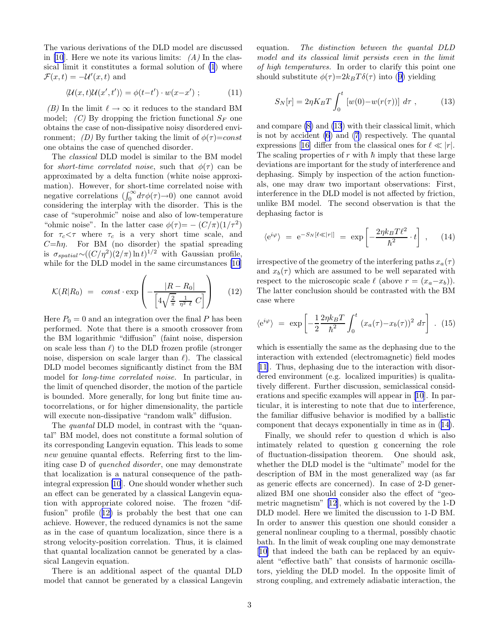<span id="page-2-0"></span>The various derivations of the DLD model are discussed in [\[10](#page-3-0)]. Here we note its various limits:  $(A)$  In the classical limit it constitutes a formal solution of [\(1](#page-0-0)) where  $\mathcal{F}(x,t) = -\mathcal{U}'(x,t)$  and

$$
\langle \mathcal{U}(x,t)\mathcal{U}(x',t')\rangle = \phi(t-t')\cdot w(x-x') ; \qquad (11)
$$

(B) In the limit  $\ell \to \infty$  it reduces to the standard BM model; (C) By dropping the friction functional  $S_F$  one obtains the case of non-dissipative noisy disordered environment; (D) By further taking the limit of  $\phi(\tau) = const$ one obtains the case of quenched disorder.

The classical DLD model is similar to the BM model for *short-time correlated noise*, such that  $\phi(\tau)$  can be approximated by a delta function (white noise approximation). However, for short-time correlated noise with negative correlations  $(\int_0^\infty d\tau \phi(\tau) \to 0)$  one cannot avoid considering the interplay with the disorder. This is the case of "superohmic" noise and also of low-temperature "ohmic noise". In the latter case  $\phi(\tau) = - (C/\pi)(1/\tau^2)$ for  $\tau_c < \tau$  where  $\tau_c$  is a very short time scale, and  $C=\hbar\eta$ . For BM (no disorder) the spatial spreading is  $\sigma_{spatial} \sim ((C/\eta^2)(2/\pi) \ln t)^{1/2}$  with Gaussian profile, while for the DLD model in the same circumstances [\[10](#page-3-0)]

$$
\mathcal{K}(R|R_0) = const \cdot \exp\left(-\frac{|R - R_0|}{\left[4\sqrt{\frac{2}{\pi}} \frac{1}{\eta^2 \ell} C\right]}\right) \qquad (12)
$$

Here  $P_0 = 0$  and an integration over the final P has been performed. Note that there is a smooth crossover from the BM logarithmic "diffusion" (faint noise, dispersion on scale less than  $\ell$ ) to the DLD frozen profile (stronger noise, dispersion on scale larger than  $\ell$ ). The classical DLD model becomes significantly distinct from the BM model for long-time correlated noise. In particular, in the limit of quenched disorder, the motion of the particle is bounded. More generally, for long but finite time autocorrelations, or for higher dimensionality, the particle will execute non-dissipative "random walk" diffusion.

The *quantal* DLD model, in contrast with the "quantal" BM model, does not constitute a formal solution of its corresponding Langevin equation. This leads to some new genuine quantal effects. Referring first to the limiting case D of quenched disorder, one may demonstrate that localization is a natural consequence of the pathintegral expression [\[10](#page-3-0)]. One should wonder whether such an effect can be generated by a classical Langevin equation with appropriate colored noise. The frozen "diffusion" profile (12) is probably the best that one can achieve. However, the reduced dynamics is not the same as in the case of quantum localization, since there is a strong velocity-position correlation. Thus, it is claimed that quantal localization cannot be generated by a classical Langevin equation.

There is an additional aspect of the quantal DLD model that cannot be generated by a classical Langevin equation. The distinction between the quantal DLD model and its classical limit persists even in the limit of high temperatures. In order to clarify this point one should substitute  $\phi(\tau) = 2k_BT\delta(\tau)$  into ([9\)](#page-1-0) yielding

$$
S_N[r] = 2\eta K_B T \int_0^t \left[ w(0) - w(r(\tau)) \right] d\tau , \qquad (13)
$$

and compare [\(8\)](#page-1-0) and (13) with their classical limit, which is not by accident [\(6](#page-1-0)) and [\(7](#page-1-0)) respectively. The quantal expressions[[16\]](#page-4-0) differ from the classical ones for  $\ell \ll |r|$ . The scaling properties of  $r$  with  $\hbar$  imply that these large deviations are important for the study of interference and dephasing. Simply by inspection of the action functionals, one may draw two important observations: First, interference in the DLD model is not affected by friction, unlike BM model. The second observation is that the dephasing factor is

$$
\langle e^{i\varphi} \rangle = e^{-S_N[\ell \ll |r|]} = \exp\left[-\frac{2\eta k_B T \ell^2}{\hbar^2} \cdot t\right], \quad (14)
$$

irrespective of the geometry of the interfering paths  $x_a(\tau)$ and  $x_b(\tau)$  which are assumed to be well separated with respect to the microscopic scale  $\ell$  (above  $r = (x_a-x_b)$ ). The latter conclusion should be contrasted with the BM case where

$$
\langle e^{i\varphi} \rangle = \exp \left[ -\frac{1}{2} \frac{2\eta k_B T}{\hbar^2} \int_0^t \left( x_a(\tau) - x_b(\tau) \right)^2 d\tau \right] . \tag{15}
$$

which is essentially the same as the dephasing due to the interaction with extended (electromagnetic) field modes [[11\]](#page-4-0). Thus, dephasing due to the interaction with disordered environment (e.g. localized impurities) is qualitatively different. Further discussion, semiclassical considerations and specific examples will appear in [\[10](#page-3-0)]. In particular, it is interesting to note that due to interference, the familiar diffusive behavior is modified by a ballistic component that decays exponentially in time as in (14).

Finally, we should refer to question d which is also intimately related to question g concerning the role of fluctuation-dissipation theorem. One should ask, whether the DLD model is the "ultimate" model for the description of BM in the most generalized way (as far as generic effects are concerned). In case of 2-D generalized BM one should consider also the effect of "geometric magnetism"[[12](#page-4-0)], which is not covered by the 1-D DLD model. Here we limited the discussion to 1-D BM. In order to answer this question one should consider a general nonlinear coupling to a thermal, possibly chaotic bath. In the limit of weak coupling one may demonstrate [[10\]](#page-3-0) that indeed the bath can be replaced by an equivalent "effective bath" that consists of harmonic oscillators, yielding the DLD model. In the opposite limit of strong coupling, and extremely adiabatic interaction, the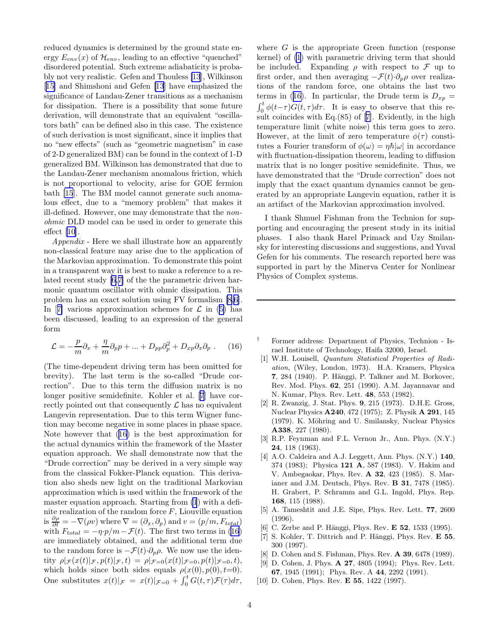<span id="page-3-0"></span>reduced dynamics is determined by the ground state energy  $E_{env}(x)$  of  $\mathcal{H}_{env}$ , leading to an effective "quenched" disordered potential. Such extreme adiabaticity is probably not very realistic. Gefen and Thouless [\[13](#page-4-0)], Wilkinson [[15\]](#page-4-0) and Shimshoni and Gefen [\[13](#page-4-0)] have emphasized the significance of Landau-Zener transitions as a mechanism for dissipation. There is a possibility that some future derivation, will demonstrate that an equivalent "oscillators bath" can be defined also in this case. The existence of such derivation is most significant, since it implies that no "new effects" (such as "geometric magnetism" in case of 2-D generalized BM) can be found in the context of 1-D generalized BM. Wilkinson has demonstrated that due to the Landau-Zener mechanism anomalous friction, which is not proportional to velocity, arise for GOE fermion bath [\[15](#page-4-0)]. The BM model cannot generate such anomalous effect, due to a "memory problem" that makes it ill-defined. However, one may demonstrate that the nonohmic DLD model can be used in order to generate this effect [10].

Appendix - Here we shall illustrate how an apparently non-classical feature may arise due to the application of the Markovian approximation. To demonstrate this point in a transparent way it is best to make a reference to a related recent study [6,7] of the the parametric driven harmonic quantum oscillator with ohmic dissipation. This problem has an exact solution using FV formalism [8,6]. In [7] various approximation schemes for  $\mathcal L$  in ([5\)](#page-0-0) has been discussed, leading to an expression of the general form

$$
\mathcal{L} = -\frac{p}{m}\partial_x + \frac{\eta}{m}\partial_p p + \dots + D_{pp}\partial_p^2 + D_{xp}\partial_x \partial_p .
$$
 (16)

(The time-dependent driving term has been omitted for brevity). The last term is the so-called "Drude correction". Due to this term the diffusion matrix is no longer positive semidefinite. Kohler et al. [7] have correctly pointed out that consequently  $\mathcal L$  has no equivalent Langevin representation. Due to this term Wigner function may become negative in some places in phase space. Note however that (16) is the best approximation for the actual dynamics within the framework of the Master equation approach. We shall demonstrate now that the "Drude correction" may be derived in a very simple way from the classical Fokker-Planck equation. This derivation also sheds new light on the traditional Markovian approximation which is used within the framework of the master equation approach. Starting from [\(1](#page-0-0)) with a definite realization of the random force  $F$ , Liouville equation is  $\frac{\partial \rho}{\partial t} = -\nabla(\rho v)$  where  $\nabla = (\partial_x, \partial_p)$  and  $v = (p/m, F_{total})$ with  $F_{total} = -\eta \cdot p/m - \mathcal{F}(t)$ . The first two terms in (16) are immediately obtained, and the additional term due to the random force is  $-\mathcal{F}(t)\cdot\partial_p\rho$ . We now use the identity  $\rho | \mathcal{F}(x(t)|\mathcal{F}, p(t)|\mathcal{F}, t) = \rho | \mathcal{F}=0(x(t)|\mathcal{F}=0, p(t)|\mathcal{F}=0, t),$ which holds since both sides equals  $\rho(x(0), p(0), t=0)$ . One substitutes  $x(t)|_{\mathcal{F}} = x(t)|_{\mathcal{F}=0} + \int_0^t G(t,\tau)\mathcal{F}(\tau)d\tau$ ,

where  $G$  is the appropriate Green function (response kernel) of [\(1](#page-0-0)) with parametric driving term that should be included. Expanding  $\rho$  with respect to  $\mathcal F$  up to first order, and then averaging  $-\mathcal{F}(t)\cdot\partial_{\eta}\rho$  over realizations of the random force, one obtains the last two terms in (16). In particular, the Drude term is  $D_{xp} =$  $\int_0^t \phi(t-\tau)G(t,\tau)d\tau$ . It is easy to observe that this result coincides with Eq.(85) of [7]. Evidently, in the high temperature limit (white noise) this term goes to zero. However, at the limit of zero temperature  $\phi(\tau)$  constitutes a Fourier transform of  $\phi(\omega) = \eta \hbar |\omega|$  in accordance with fluctuation-dissipation theorem, leading to diffusion matrix that is no longer positive semidefinite. Thus, we have demonstrated that the "Drude correction" does not imply that the exact quantum dynamics cannot be generated by an appropriate Langevin equation, rather it is an artifact of the Markovian approximation involved.

I thank Shmuel Fishman from the Technion for supporting and encouraging the present study in its initial phases. I also thank Harel Primack and Uzy Smilansky for interesting discussions and suggestions, and Yuval Gefen for his comments. The research reported here was supported in part by the Minerva Center for Nonlinear Physics of Complex systems.

- † Former address: Department of Physics, Technion Israel Institute of Technology, Haifa 32000, Israel.
- [1] W.H. Louisell, Quantum Statistical Properties of Radiation, (Wiley, London, 1973). H.A. Kramers, Physica 7, 284 (1940). P. Hänggi, P. Talkner and M. Borkovec, Rev. Mod. Phys. 62, 251 (1990). A.M. Jayannavar and N. Kumar, Phys. Rev. Lett. 48, 553 (1982).
- [2] R. Zwanzig, J. Stat. Phys. 9, 215 (1973). D.H.E. Gross, Nuclear Physics A240, 472 (1975); Z. Physik A 291, 145 (1979). K. Möhring and U. Smilansky, Nuclear Physics A338, 227 (1980).
- [3] R.P. Feynman and F.L. Vernon Jr., Ann. Phys. (N.Y.) 24, 118 (1963).
- [4] A.O. Caldeira and A.J. Leggett, Ann. Phys. (N.Y.) 140, 374 (1983); Physica 121 A, 587 (1983). V. Hakim and V. Ambegaokar, Phys. Rev. A 32, 423 (1985). S. Marianer and J.M. Deutsch, Phys. Rev. B 31, 7478 (1985). H. Grabert, P. Schramm and G.L. Ingold, Phys. Rep. 168, 115 (1988).
- [5] A. Tameshtit and J.E. Sipe, Phys. Rev. Lett. 77, 2600 (1996).
- [6] C. Zerbe and P. Hänggi, Phys. Rev. **E 52**, 1533 (1995).
- [7] S. Kohler, T. Dittrich and P. Hänggi, Phys. Rev.  $E$  55, 300 (1997).
- [8] D. Cohen and S. Fishman, Phys. Rev. **A 39**, 6478 (1989).
- D. Cohen, J. Phys. **A 27**, 4805 (1994); Phys. Rev. Lett. 67, 1945 (1991); Phys. Rev. A 44, 2292 (1991).
- [10] D. Cohen, Phys. Rev. **E 55**, 1422 (1997).